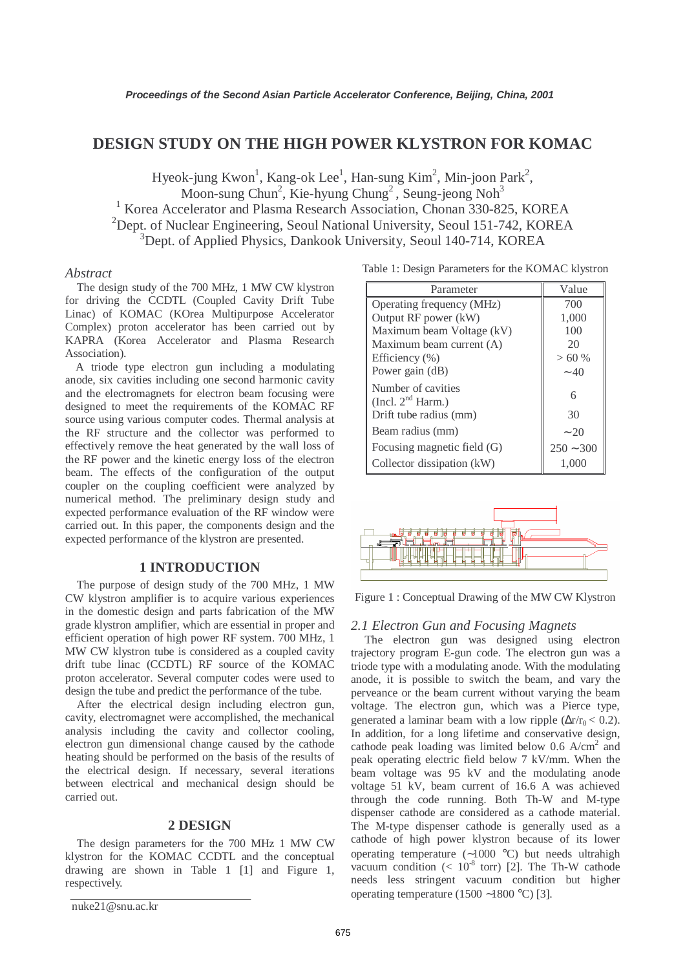# **DESIGN STUDY ON THE HIGH POWER KLYSTRON FOR KOMAC**

Hyeok-jung Kwon<sup>1</sup>, Kang-ok Lee<sup>1</sup>, Han-sung Kim<sup>2</sup>, Min-joon Park<sup>2</sup>, Moon-sung Chun<sup>2</sup>, Kie-hyung Chung<sup>2</sup>, Seung-jeong Noh<sup>3</sup> <sup>1</sup> Korea Accelerator and Plasma Research Association, Chonan 330-825, KOREA <sup>2</sup>Dept. of Nuclear Engineering, Seoul National University, Seoul 151-742, KOREA <sup>3</sup>Dept. of Applied Physics, Dankook University, Seoul 140-714, KOREA

# *Abstract*

The design study of the 700 MHz, 1 MW CW klystron for driving the CCDTL (Coupled Cavity Drift Tube Linac) of KOMAC (KOrea Multipurpose Accelerator Complex) proton accelerator has been carried out by KAPRA (Korea Accelerator and Plasma Research Association).

A triode type electron gun including a modulating anode, six cavities including one second harmonic cavity and the electromagnets for electron beam focusing were designed to meet the requirements of the KOMAC RF source using various computer codes. Thermal analysis at the RF structure and the collector was performed to effectively remove the heat generated by the wall loss of the RF power and the kinetic energy loss of the electron beam. The effects of the configuration of the output coupler on the coupling coefficient were analyzed by numerical method. The preliminary design study and expected performance evaluation of the RF window were carried out. In this paper, the components design and the expected performance of the klystron are presented.

# **1 INTRODUCTION**

The purpose of design study of the 700 MHz, 1 MW CW klystron amplifier is to acquire various experiences in the domestic design and parts fabrication of the MW grade klystron amplifier, which are essential in proper and efficient operation of high power RF system. 700 MHz, 1 MW CW klystron tube is considered as a coupled cavity drift tube linac (CCDTL) RF source of the KOMAC proton accelerator. Several computer codes were used to design the tube and predict the performance of the tube.

After the electrical design including electron gun, cavity, electromagnet were accomplished, the mechanical analysis including the cavity and collector cooling, electron gun dimensional change caused by the cathode heating should be performed on the basis of the results of the electrical design. If necessary, several iterations between electrical and mechanical design should be carried out.

# **2 DESIGN**

The design parameters for the 700 MHz 1 MW CW klystron for the KOMAC CCDTL and the conceptual drawing are shown in Table 1 [1] and Figure 1, respectively.

| Table 1: Design Parameters for the KOMAC klystron |  |  |
|---------------------------------------------------|--|--|
|                                                   |  |  |

| Parameter                                  | Value       |
|--------------------------------------------|-------------|
| Operating frequency (MHz)                  | 700         |
| Output RF power (kW)                       | 1,000       |
| Maximum beam Voltage (kV)                  | 100         |
| Maximum beam current (A)                   | 20          |
| Efficiency $(\% )$                         | > 60%       |
| Power gain (dB)                            | ~10         |
| Number of cavities<br>(Incl. $2nd Harm.$ ) | 6           |
| Drift tube radius (mm)                     | 30          |
| Beam radius (mm)                           | $~1$ 20     |
| Focusing magnetic field (G)                | $250 - 300$ |
| Collector dissipation (kW)                 |             |



Figure 1 : Conceptual Drawing of the MW CW Klystron

# *2.1 Electron Gun and Focusing Magnets*

The electron gun was designed using electron trajectory program E-gun code. The electron gun was a triode type with a modulating anode. With the modulating anode, it is possible to switch the beam, and vary the perveance or the beam current without varying the beam voltage. The electron gun, which was a Pierce type, generated a laminar beam with a low ripple ( $\Delta r/r_0 < 0.2$ ). In addition, for a long lifetime and conservative design, cathode peak loading was limited below  $0.6$  A/cm<sup>2</sup> and peak operating electric field below 7 kV/mm. When the beam voltage was 95 kV and the modulating anode voltage 51 kV, beam current of 16.6 A was achieved through the code running. Both Th-W and M-type dispenser cathode are considered as a cathode material. The M-type dispenser cathode is generally used as a cathode of high power klystron because of its lower operating temperature (∼1000 °C) but needs ultrahigh vacuum condition  $(< 10^{-8}$  torr) [2]. The Th-W cathode needs less stringent vacuum condition but higher operating temperature (1500 ∼1800 °C) [3].

nuke21@snu.ac.kr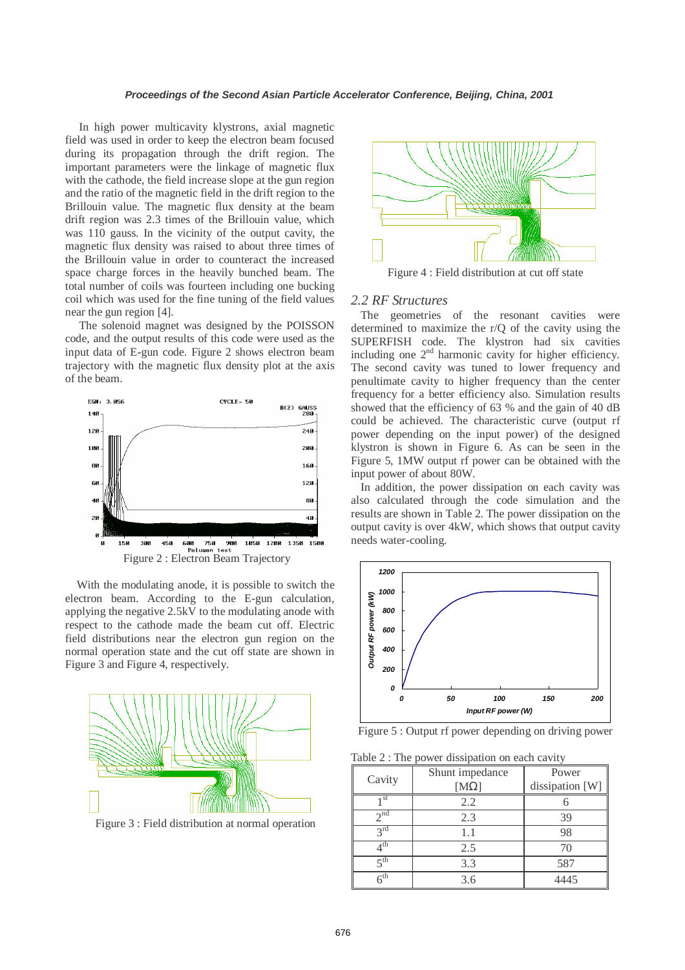In high power multicavity klystrons, axial magnetic field was used in order to keep the electron beam focused during its propagation through the drift region. The important parameters were the linkage of magnetic flux with the cathode, the field increase slope at the gun region and the ratio of the magnetic field in the drift region to the Brillouin value. The magnetic flux density at the beam drift region was 2.3 times of the Brillouin value, which was 110 gauss. In the vicinity of the output cavity, the magnetic flux density was raised to about three times of the Brillouin value in order to counteract the increased space charge forces in the heavily bunched beam. The total number of coils was fourteen including one bucking coil which was used for the fine tuning of the field values near the gun region [4].

The solenoid magnet was designed by the POISSON code, and the output results of this code were used as the input data of E-gun code. Figure 2 shows electron beam trajectory with the magnetic flux density plot at the axis of the beam.



With the modulating anode, it is possible to switch the electron beam. According to the E-gun calculation, applying the negative 2.5kV to the modulating anode with respect to the cathode made the beam cut off. Electric field distributions near the electron gun region on the normal operation state and the cut off state are shown in Figure 3 and Figure 4, respectively.



Figure 3 : Field distribution at normal operation



Figure 4 : Field distribution at cut off state

#### *2.2 RF Structures*

The geometries of the resonant cavities were determined to maximize the r/Q of the cavity using the SUPERFISH code. The klystron had six cavities including one  $2<sup>nd</sup>$  harmonic cavity for higher efficiency. The second cavity was tuned to lower frequency and penultimate cavity to higher frequency than the center frequency for a better efficiency also. Simulation results showed that the efficiency of 63 % and the gain of 40 dB could be achieved. The characteristic curve (output rf power depending on the input power) of the designed klystron is shown in Figure 6. As can be seen in the Figure 5, 1MW output rf power can be obtained with the input power of about 80W.

In addition, the power dissipation on each cavity was also calculated through the code simulation and the results are shown in Table 2. The power dissipation on the output cavity is over 4kW, which shows that output cavity needs water-cooling.



Figure 5 : Output rf power depending on driving power

Table 2 : The power dissipation on each cavity

| Cavity               | Shunt impedance<br>$[M\Omega]$ | Power<br>dissipation $[W]$ |
|----------------------|--------------------------------|----------------------------|
| 1 st                 | 2.2                            |                            |
| 2 <sup>nd</sup>      | 2.3                            | 39                         |
| $2^{\text{rd}}$      | 1.1                            | 98                         |
| $4^{\text{th}}$      | 2.5                            | 70                         |
| $\leq$ <sup>th</sup> | 3.3                            | 587                        |
| $6^{\rm th}$         | 3.6                            | 4445                       |